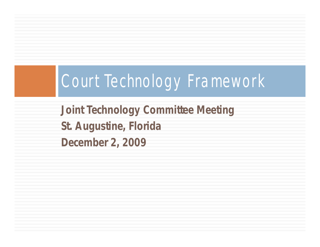# Court Technology Framework

**Joint Technology Committee Meeting St. Augustine, Florida December 2, 2009**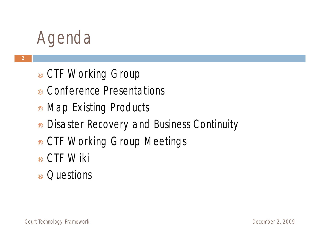### Agenda

- ¨ CTF Working Group
- ¨ Conference Presentations
- ¨ Map Existing Products
- ¨ Disaster Recovery and Business Continuity
- ¨ CTF Working Group Meetings
- ¨ CTF Wiki
- ¨ Questions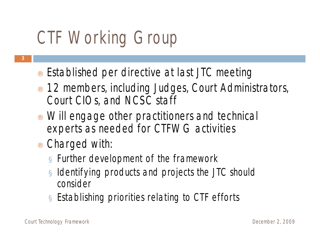# CTF Working Group

- Established per directive at last JTC meeting
- 12 members, including Judges, Court Administrators, Court CIOs, and NCSC staff
- Will engage other practitioners and technical experts as needed for CTFWG activities
- Charged with:
	- $\alpha$  Further development of the framework
	- $\alpha$  Identifying products and projects the JTC should consider
	- $\alpha$  Establishing priorities relating to CTF efforts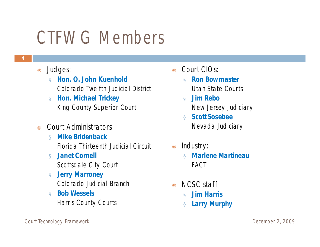## CTFWG Members

- ¨ Judges:
	- ¤ **Hon. O. John Kuenhold** Colorado Twelfth Judicial District
	- ¤ **Hon. Michael Trickey** King County Superior Court
- Court Administrators:
	- ¤ **Mike Bridenback** Florida Thirteenth Judicial Circuit
	- ¤ **Janet Cornell** Scottsdale City Court
	- ¤ **Jerry Marroney** Colorado Judicial Branch
	- ¤ **Bob Wessels** Harris County Courts
- Court CIOs:
	- ¤ **Ron Bowmaster** Utah State Courts
	- ¤ **Jim Rebo** New Jersey Judiciary
	- ¤ **Scott Sosebee** Nevada Judiciary
- Industry:
	- ¤ **Marlene Martineau** FACT
- ¨ NCSC staff:
	- ¤ **Jim Harris**
	- ¤ **Larry Murphy**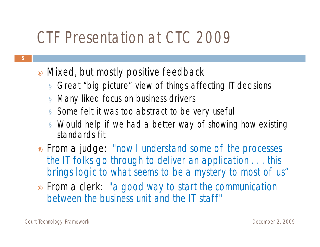#### CTF Presentation at CTC 2009

- Mixed, but mostly positive feedback
	- $\alpha$  Great "big picture" view of things affecting IT decisions
	- ¤ Many liked focus on business drivers
	- $\infty$  Some felt it was too abstract to be very useful
	- $\alpha$  Would help if we had a better way of showing how existing standards fit
- From a judge: "now I understand some of the processes *the IT folks go through to deliver an application . . . this brings logic to what seems to be a mystery to most of us"*
- ¨ From a clerk: *"a good way to start the communication between the business unit and the IT staff"*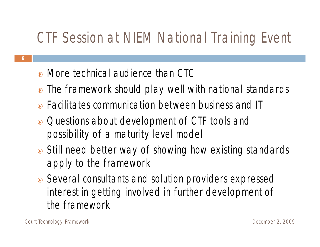#### CTF Session at NIEM National Training Event

- More technical audience than CTC
- The framework should play well with national standards
- ¨ Facilitates communication between business and IT
- Questions about development of CTF tools and possibility of a maturity level model
- Still need better way of showing how existing standards apply to the framework
- Several consultants and solution providers expressed interest in getting involved in further development of the framework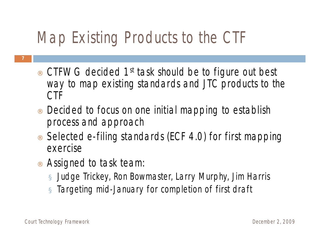### Map Existing Products to the CTF

- CTFWG decided 1<sup>st</sup> task should be to figure out best way to map existing standards and JTC products to the CTF
- Decided to focus on one initial mapping to establish process and approach
- Selected e-filing standards (ECF 4.0) for first mapping exercise
- Assigned to task team:
	- ¤ Judge Trickey, Ron Bowmaster, Larry Murphy, Jim Harris
	- ¤ Targeting mid-January for completion of first draft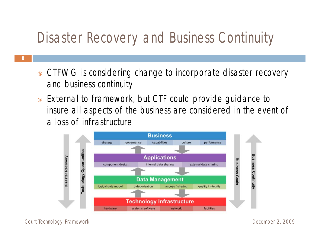#### Disaster Recovery and Business Continuity

- **8**
- CTFWG is considering change to incorporate disaster recovery and business continuity
- External to framework, but CTF could provide guidance to insure all aspects of the business are considered in the event of a loss of infrastructure



Court Technology Framework December 2, 2009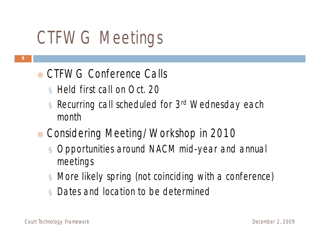# CTFWG Meetings

- CTFWG Conference Calls
	- ¤ Held first call on Oct. 20
	- ¤ Recurring call scheduled for 3rd Wednesday each month
- Considering Meeting/Workshop in 2010
	- ¤ Opportunities around NACM mid-year and annual meetings
	- $\alpha$  More likely spring (not coinciding with a conference)
	- ¤ Dates and location to be determined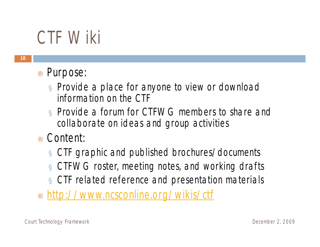## CTF Wiki

- Purpose:
	- ¤ Provide a place for anyone to view or download information on the CTF
	- ¤ Provide a forum for CTFWG members to share and collaborate on ideas and group activities
- ¨ Content:
	- ¤ CTF graphic and published brochures/documents
	- ¤ CTFWG roster, meeting notes, and working drafts
	- ¤ CTF related reference and presentation materials
- <http://www.ncsconline.org/wikis/ctf>